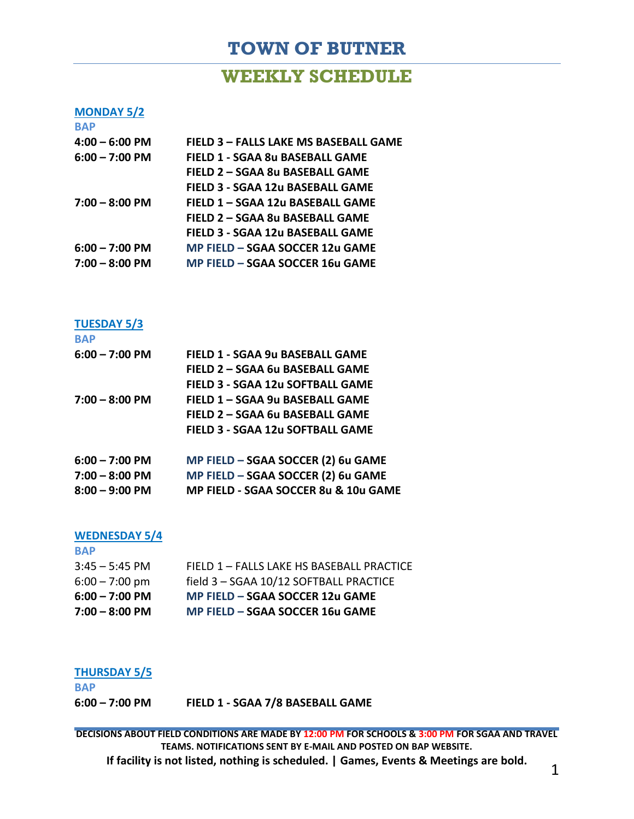# **TOWN OF BUTNER**

## **WEEKLY SCHEDULE**

### **MONDAY 5/2**

| <b>BAP</b>       |                                       |
|------------------|---------------------------------------|
| $4:00 - 6:00$ PM | FIELD 3 - FALLS LAKE MS BASEBALL GAME |
| $6:00 - 7:00$ PM | FIELD 1 - SGAA 8u BASEBALL GAME       |
|                  | FIELD 2 - SGAA 8u BASEBALL GAME       |
|                  | FIELD 3 - SGAA 12u BASEBALL GAME      |
| $7:00 - 8:00$ PM | FIELD 1 - SGAA 12u BASEBALL GAME      |
|                  | FIELD 2 - SGAA 8u BASEBALL GAME       |
|                  | FIELD 3 - SGAA 12u BASEBALL GAME      |
| $6:00 - 7:00$ PM | MP FIELD – SGAA SOCCER 12u GAME       |
| $7:00 - 8:00$ PM | MP FIELD – SGAA SOCCER 16u GAME       |
|                  |                                       |

### **TUESDAY 5/3**

| <b>BAP</b>       |                                         |
|------------------|-----------------------------------------|
| $6:00 - 7:00$ PM | FIELD 1 - SGAA 9u BASEBALL GAME         |
|                  | FIELD 2 - SGAA 6u BASEBALL GAME         |
|                  | <b>FIELD 3 - SGAA 12u SOFTBALL GAME</b> |
| $7:00 - 8:00$ PM | FIELD 1 - SGAA 9u BASEBALL GAME         |
|                  | FIELD 2 - SGAA 6u BASEBALL GAME         |
|                  | <b>FIELD 3 - SGAA 12u SOFTBALL GAME</b> |
| $6:00 - 7:00$ PM | MP FIELD - SGAA SOCCER (2) 6u GAME      |
| $7:00 - 8:00$ PM | MP FIELD - SGAA SOCCER (2) 6u GAME      |
| $8:00 - 9:00$ PM | MP FIELD - SGAA SOCCER 8u & 10u GAME    |

#### **WEDNESDAY 5/4**

**BAP**

**BAP**

| $7:00 - 8:00$ PM         | MP FIELD - SGAA SOCCER 16u GAME           |
|--------------------------|-------------------------------------------|
| $6:00 - 7:00 \text{ PM}$ | MP FIELD – SGAA SOCCER 12u GAME           |
| $6:00 - 7:00$ pm         | field 3 - SGAA 10/12 SOFTBALL PRACTICE    |
| $3:45 - 5:45$ PM         | FIELD 1 - FALLS LAKE HS BASEBALL PRACTICE |
| $\mathbf{L}$             |                                           |

#### **THURSDAY 5/5**

| <b>BAP</b>               |                                  |
|--------------------------|----------------------------------|
| $6:00 - 7:00 \text{ PM}$ | FIELD 1 - SGAA 7/8 BASEBALL GAME |

**DECISIONS ABOUT FIELD CONDITIONS ARE MADE BY 12:00 PM FOR SCHOOLS & 3:00 PM FOR SGAA AND TRAVEL TEAMS. NOTIFICATIONS SENT BY E-MAIL AND POSTED ON BAP WEBSITE. If facility is not listed, nothing is scheduled. | Games, Events & Meetings are bold.** 1